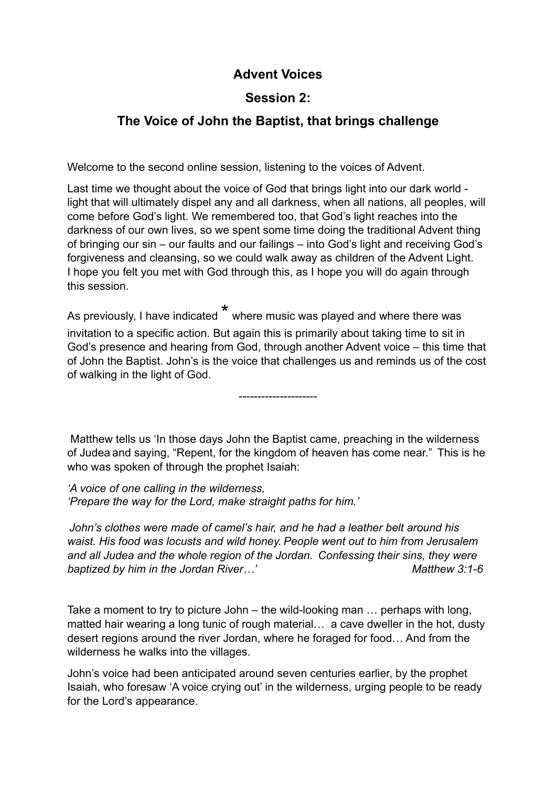## **Advent Voices**

## **Session 2:**

## **The Voice of John the Baptist, that brings challenge**

Welcome to the second online session, listening to the voices of Advent.

Last time we thought about the voice of God that brings light into our dark world light that will ultimately dispel any and all darkness, when all nations, all peoples, will come before God's light. We remembered too, that God's light reaches into the darkness of our own lives, so we spent some time doing the traditional Advent thing of bringing our sin – our faults and our failings – into God's light and receiving God's forgiveness and cleansing, so we could walk away as children of the Advent Light. I hope you felt you met with God through this, as I hope you will do again through this session.

As previously, I have indicated \* where music was played and where there was invitation to a specific action. But again this is primarily about taking time to sit in God's presence and hearing from God, through another Advent voice – this time that of John the Baptist. John's is the voice that challenges us and reminds us of the cost of walking in the light of God.

---------------------

 Matthew tells us 'In those days John the Baptist came, preaching in the wilderness of Judea and saying, "Repent, for the kingdom of heaven has come near." This is he who was spoken of through the prophet Isaiah:

*'A voice of one calling in the wilderness, 'Prepare the way for the Lord, make straight paths for him.'*

*John's clothes were made of camel's hair, and he had a leather belt around his waist. His food was locusts and wild honey. People went out to him from Jerusalem and all Judea and the whole region of the Jordan. Confessing their sins, they were baptized by him in the Jordan River...'* Matthew 3:1-6

Take a moment to try to picture John – the wild-looking man … perhaps with long, matted hair wearing a long tunic of rough material… a cave dweller in the hot, dusty desert regions around the river Jordan, where he foraged for food… And from the wilderness he walks into the villages.

John's voice had been anticipated around seven centuries earlier, by the prophet Isaiah, who foresaw 'A voice crying out' in the wilderness, urging people to be ready for the Lord's appearance.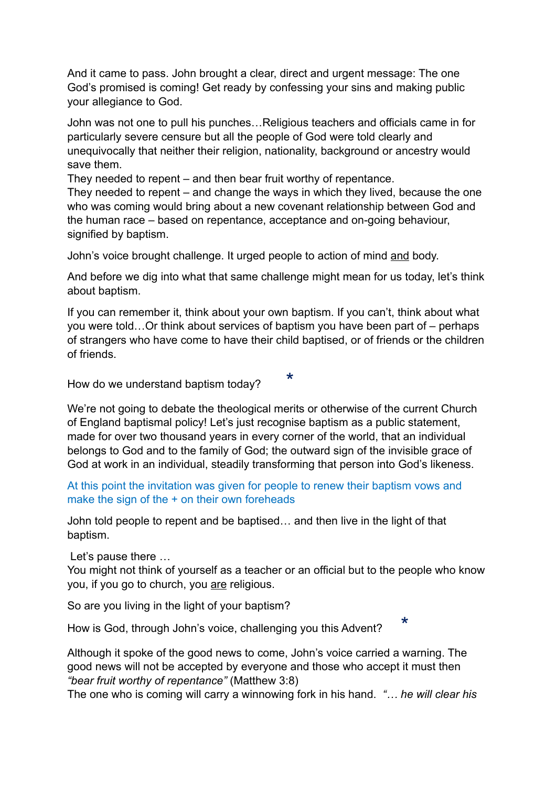And it came to pass. John brought a clear, direct and urgent message: The one God's promised is coming! Get ready by confessing your sins and making public your allegiance to God.

John was not one to pull his punches…Religious teachers and officials came in for particularly severe censure but all the people of God were told clearly and unequivocally that neither their religion, nationality, background or ancestry would save them.

They needed to repent – and then bear fruit worthy of repentance.

They needed to repent – and change the ways in which they lived, because the one who was coming would bring about a new covenant relationship between God and the human race – based on repentance, acceptance and on-going behaviour, signified by baptism.

John's voice brought challenge. It urged people to action of mind and body.

And before we dig into what that same challenge might mean for us today, let's think about baptism.

If you can remember it, think about your own baptism. If you can't, think about what you were told…Or think about services of baptism you have been part of – perhaps of strangers who have come to have their child baptised, or of friends or the children of friends.

\*

How do we understand baptism today?

We're not going to debate the theological merits or otherwise of the current Church of England baptismal policy! Let's just recognise baptism as a public statement, made for over two thousand years in every corner of the world, that an individual belongs to God and to the family of God; the outward sign of the invisible grace of God at work in an individual, steadily transforming that person into God's likeness.

At this point the invitation was given for people to renew their baptism vows and make the sign of the + on their own foreheads

John told people to repent and be baptised… and then live in the light of that baptism.

Let's pause there …

You might not think of yourself as a teacher or an official but to the people who know you, if you go to church, you are religious.

\*

So are you living in the light of your baptism?

How is God, through John's voice, challenging you this Advent?

Although it spoke of the good news to come, John's voice carried a warning. The good news will not be accepted by everyone and those who accept it must then *"bear fruit worthy of repentance"* (Matthew 3:8)

The one who is coming will carry a winnowing fork in his hand. *"… he will clear his*